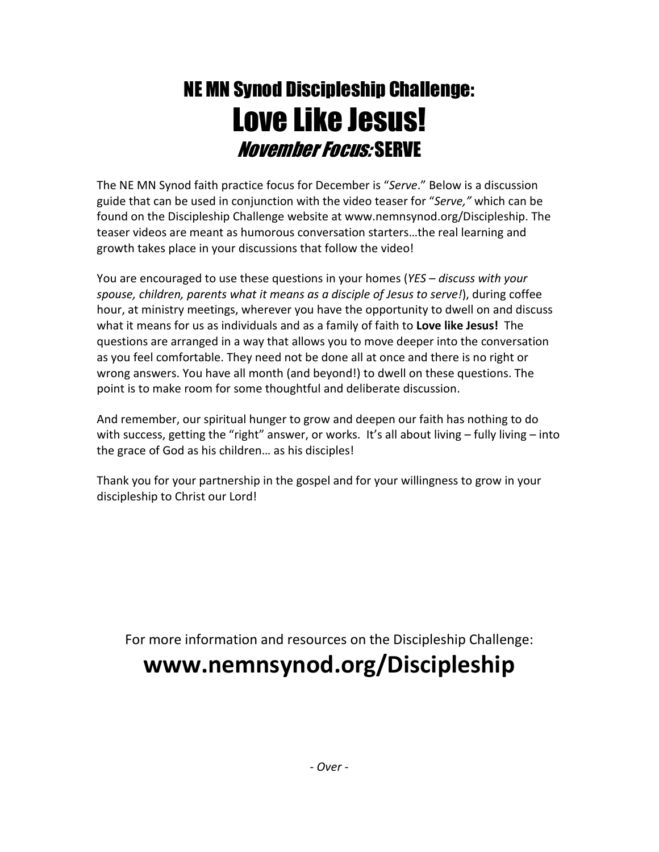# NE MN Synod Discipleship Challenge: Love Like Jesus! November Focus: SERVE

The NE MN Synod faith practice focus for December is "Serve." Below is a discussion guide that can be used in conjunction with the video teaser for "Serve," which can be found on the Discipleship Challenge website at www.nemnsynod.org/Discipleship. The teaser videos are meant as humorous conversation starters…the real learning and growth takes place in your discussions that follow the video!

You are encouraged to use these questions in your homes (YES - discuss with your spouse, children, parents what it means as a disciple of Jesus to serve!), during coffee hour, at ministry meetings, wherever you have the opportunity to dwell on and discuss what it means for us as individuals and as a family of faith to Love like Jesus! The questions are arranged in a way that allows you to move deeper into the conversation as you feel comfortable. They need not be done all at once and there is no right or wrong answers. You have all month (and beyond!) to dwell on these questions. The point is to make room for some thoughtful and deliberate discussion.

And remember, our spiritual hunger to grow and deepen our faith has nothing to do with success, getting the "right" answer, or works. It's all about living - fully living - into the grace of God as his children… as his disciples!

Thank you for your partnership in the gospel and for your willingness to grow in your discipleship to Christ our Lord!

For more information and resources on the Discipleship Challenge:

## www.nemnsynod.org/Discipleship